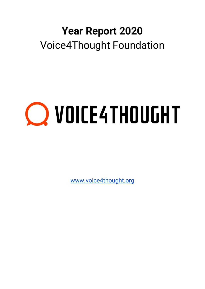## **Year Report 2020** Voice4Thought Foundation

# **Q VOICE4THOUGHT**

[www.voice4thought.org](http://www.voice4thought.org/)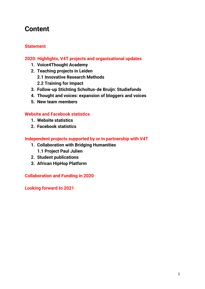### **Content**

#### **Statement**

#### **2020: Highlights, V4T projects and organisational updates**

- **1. Voice4Thought Academy**
- **2. Teaching projects in Leiden**
	- **2.1 Innovative Research Methods**
	- **2.2 Training for Impact**
- **3. Follow-up Stichting Scholtus-de Bruijn: Studiefonds**
- **4. Thought and voices: expansion of bloggers and voices**
- **5. New team members**

#### **Website and Facebook statistics**

- **1. Website statistics**
- **2. Facebook statistics**

#### **Independent projects supported by or in partnership with V4T**

- **1. Collaboration with Bridging Humanities 1.1 Project Paul Julien**
- **2. Student publications**
- **3. African HipHop Platform**

**Collaboration and Funding in 2020**

**Looking forward to 2021**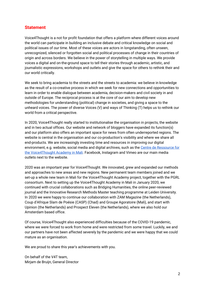#### **Statement**

Voice4Thought is a not for profit foundation that offers a platform where different voices around the world can participate in building an inclusive debate and critical knowledge on social and political issues of our time. Most of these voices are actors in longstanding, often unseen, unrecognized, silenced or forgotten social and political processes of change in their countries of origin and across borders. We believe in the power of storytelling in multiple ways. We provide voices a digital and on-the-ground space to tell their stories through academic, artistic, and journalistic expressions, workshops and outlets and give the space for others to rethink their and our world critically.

We seek to bring academia to the streets and the streets to academia: we believe in knowledge as the result of a co-creative process in which we seek for new connections and opportunities to learn in order to enable dialogue between academia, decision-makers and civil society in and outside of Europe. The reciprocal process is at the core of our aim to develop new methodologies for understanding (political) change in societies, and giving a space to the unheard voices. The power of diverse Voices (V) and ways of Thinking (T) helps us to rethink our world from a critical perspective.

In 2020, Voice4Thought really started to institutionalise the organisation in projects, the website and in two actual offices. Our website and network of bloggers have expanded its function(s) and our platform also offers an important space for news from often underreported regions. The website is central in the organisation and our co-production's visibility and where we share all end-products. We are increasingly investing time and resources in improving our digital environment, e.g. website, social media and digital archives, such as the Centre de Ressource for [the Voice4Thought Academy in Mali.](https://centre.v4tacademie.org/) Facebook, Instagram and Vimeo are our main media outlets next to the website.

2020 was an important year for Voice4Thought. We innovated, grew and expanded our methods and approaches to new areas and new regions. New permanent team members joined and we set-up a whole new team in Mali for the Voice4Thought Academy project, together with the PGRL consortium. Next to setting up the Voice4Thought Academy in Mali in January 2020, we continued with crucial collaborations such as Bridging Humanities, the online peer-reviewed journal and the Innovative Research Methods Master teaching programme at Leiden University. In 2020 we were happy to continue our collaboration with ZAM Magazine (the Netherlands), Coup d'Afrique Slam de Poésie (CASP) (Chad) and Groupe Agoratoire (Mali), and start with Upinion (the Netherlands) and Prospect Eleven (the Netherlands), where we also hold our Amsterdam based office.

Of course, Voice4Thought also experienced difficulties because of the COVID-19 pandemic, where we were forced to work from home and were restricted from some travel. Luckily, we and our partners have not been affected severely by the pandemic and we were happy that we could mature as an organisation.

We are proud to share this year's achievements with you.

On behalf of the V4T team, Mirjam de Bruijn, General Director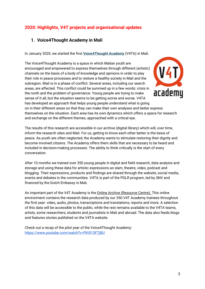#### **2020: Highlights, V4T projects and organisational updates**

#### **1. [Voice4Thought Academy in Mali](https://voice4thought.us14.list-manage.com/track/click?u=15ac60622e29d9b13cfbc6676&id=beffd36889&e=9461635a73)**

In January 2020, we started the first **[Voice4Thought Academy](https://voice4thought.us14.list-manage.com/track/click?u=15ac60622e29d9b13cfbc6676&id=ec3ed4151b&e=9461635a73)** (V4TA) in Mali.

The Voice4Thought Academy is a space in which Malian youth are encouraged and empowered to express themselves through different (artistic) channels on the basis of a body of knowledge and opinions in order to play their role in peace processes and to restore a healthy society in Mali and the subregion. Mali is in a phase of conflict. Several areas, including our search areas, are affected. This conflict could be summed up in a few words: crisis in academu the north and the problem of governance. Young people are trying to make sense of it all, but the situation seems to be getting worse and worse. V4TA has developed an approach that helps young people understand what is going on in their different areas so that they can make their own analyses and better express themselves on the situation. Each area has its own dynamics which offers a space for research and exchange on the different themes, approached with a critical eye.

The results of this research are accessible in our archive (digital library) which will, over time, inform the research sites and Mali. For us, getting to know each other better is the basis of peace. As youth are often neglected, the Academy wants to stimulate restoring their dignity and become involved citizens. The Academy offers them skills that are necessary to be heard and included in decision-making processes. The ability to think critically is the start of every conversation.

After 10 months we trained over 350 young people in digital and field research, data analysis and storage and using these data for artistic expressions as slam, theatre, video, podcast and blogging. Their expressions, products and findings are shared through the website, social media, events and debates in the communities. V4TA is part of the PGLR program, led by SNV and financed by the Dutch Embassy in Mali.

An important part of the V4T Academy is the [Online Archive \(Resource Centre\)](https://voice4thought.us14.list-manage.com/track/click?u=15ac60622e29d9b13cfbc6676&id=0db4276b5f&e=9461635a73)[. T](https://voice4thought.us14.list-manage.com/track/click?u=15ac60622e29d9b13cfbc6676&id=8afa30b072&e=9461635a73)his online environment contains the research data produced by our 350 V4T Academy trainees throughout the first year: video, audio, photos, transcriptions and translations, reports and more. A selection of this data will be accessible to the public, while the rest remains available to the V4TA teams, artists, some researchers, students and journalists in Mali and abroad. The data also feeds blogs and features stories published on the V4TA website.

Check out a recap of the pilot year of the Voice4Thought Academy: <https://www.youtube.com/watch?v=PKi915FTjBU>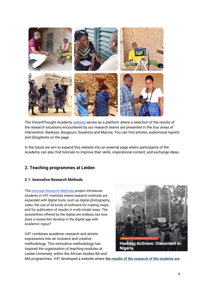

The Voice4Thought Academy [website s](https://voice4thought.org/voice4thought-academie-mali-v4ta/)erves as a platform where a selection of the results of the research situations encountered by our research teams are presented in the four areas of intervention: Bankass, Bougouni, Douentza and Macina. You can find articles, audiovisual reports and (blog)texts on the page.

In the future we aim to expand this website into an external page where participants of the Academy can also find tutorials to improve their skills, inspirational content, and exchange ideas.

#### **2. Teaching programmes at Leiden**

#### **2.1. Innovative Research Methods**

The [Innovate Research Methods p](https://innovativeresearchmethods.org/)roject introduces students in V4T methods where research methods are expanded with digital tools, such as digital photography, video, the use of all kinds of software for making maps, and for publication of results in multi-modal ways. The possibilities offered by the digital are endless, but how does a researcher develop in the digital age with academic rigour?

V4T combines academic research and artistic expressions into an inclusive and creative methodology. This innovative methodology has inspired the organisation of teaching modules at Leiden University, within the African studies BA and



MA programmes. V4T developed a website where **[the results of the research of the students are](https://voice4thought.us14.list-manage.com/track/click?u=15ac60622e29d9b13cfbc6676&id=2e3a5f44c5&e=9461635a73)**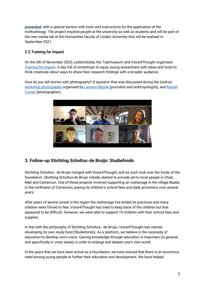**[presented](https://voice4thought.us14.list-manage.com/track/click?u=15ac60622e29d9b13cfbc6676&id=2e3a5f44c5&e=9461635a73)**, with a special section with tools and instructions for the application of the methodology. The project inspired people at the university as well as students and will be part of the new media lab at the Humanities faculty of Leiden University that will be realised in September 2021.

#### **2.2.Training for Impact**

On the 5th of November 2020, LeidenGlobal, the Taalmuseum and Voice4Thought organised [Training for Impact.](https://www.universiteitleiden.nl/en/events/2020/11/training-for-impact) A day full of workshops to equip young researchers with ideas and tools to think creatively about ways to share their research findings with a broader audience.

How do you tell stories with photography? A question that was discussed during the (online) [workshop photography o](https://voice4thought.org/training-for-impact-workshop-photography/)rganised by [Laurens Nijzink](https://www.linkedin.com/in/laurens-nijzink-4145b13/?originalSubdomain=nl) (journalist and anthropologist), and Rachel [Corner](https://www.rachelcorner.nl/) (photographer).



#### **3. Follow-up Stichting Scholtus-de Bruijn: Studiefonds**

Stichting Scholtus - de Bruijn merged with Voice4Thought, and as such took over the funds of the foundation. Stichting Scholtus-de Bruijn initially started to provide aid to local people in Chad, Mali and Cameroon. One of these projects involved supporting an orphanage in the village Baaba in the northwest of Cameroon; paying its children's school fees and daily provisions over several years.

After years of severe unrest in the region the orphanage has ended its practices and many children were forced to flee. Voice4Thought has tried to keep track of the children but that appeared to be difficult. However, we were able to support 15 children with their school fees and supplies.

In line with the philosophy of Stichting Scholtus - de Bruijn, Voice4Thought has started developing its own study fund (Studiefonds). As a platform, we believe in the necessity of education to develop one's voice. Gaining knowledge through education is important (in general, and specifically in crisis areas) in order to enlarge and deepen one's own world.

In the years that we have been active as a foundation, we have noticed that there is an enormous need among young people to further their education and development. We have helped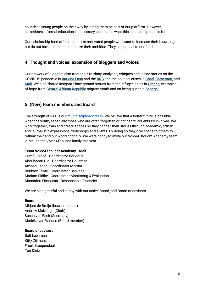countless young people on their way by letting them be part of our platform. However, sometimes a formal education is necessary, and that is what this scholarship fund is for.

Our scholarship fund offers support to motivated people who want to increase their knowledge but do not have the means to realize their ambition. They can appeal to our fund.

#### **4. [Thought and voices: expansion of bloggers and voices](https://voice4thought.us14.list-manage.com/track/click?u=15ac60622e29d9b13cfbc6676&id=02d09a92ad&e=9461635a73)**

Our network of bloggers also treated us to sharp analyses, critiques and inside stories on the COVID-19 pandemic in **[Burkina Faso](https://voice4thought.us14.list-manage.com/track/click?u=15ac60622e29d9b13cfbc6676&id=c177fbc37b&e=9461635a73)** and th[e](https://voice4thought.us14.list-manage.com/track/click?u=15ac60622e29d9b13cfbc6676&id=f7b6f0f015&e=9461635a73) **[DRC](https://voice4thought.us14.list-manage.com/track/click?u=15ac60622e29d9b13cfbc6676&id=f7b6f0f015&e=9461635a73)** and the political crises in **[Chad](https://voice4thought.us14.list-manage.com/track/click?u=15ac60622e29d9b13cfbc6676&id=61c253fe38&e=9461635a73)**, **[Cameroon](https://voice4thought.us14.list-manage.com/track/click?u=15ac60622e29d9b13cfbc6676&id=0c743c0b4d&e=9461635a73)**, an[d](https://voice4thought.us14.list-manage.com/track/click?u=15ac60622e29d9b13cfbc6676&id=265ca594cc&e=9461635a73) **[Mali](https://voice4thought.us14.list-manage.com/track/click?u=15ac60622e29d9b13cfbc6676&id=265ca594cc&e=9461635a73)**. We also shared insightful background stories from the refugee crisis in **[Greece](https://voice4thought.us14.list-manage.com/track/click?u=15ac60622e29d9b13cfbc6676&id=5ff3b4cf64&e=9461635a73)**, examples of hope from **[Central African Republic](https://voice4thought.us14.list-manage.com/track/click?u=15ac60622e29d9b13cfbc6676&id=98cd05ab98&e=9461635a73)** migrant youth and on being queer i[n](https://voice4thought.us14.list-manage.com/track/click?u=15ac60622e29d9b13cfbc6676&id=f3c0c714ad&e=9461635a73) **[Senegal](https://voice4thought.us14.list-manage.com/track/click?u=15ac60622e29d9b13cfbc6676&id=f3c0c714ad&e=9461635a73)**.

#### **5. (New) team members and Board**

The strength of V4T is our [multidisciplinary team.](https://voice4thought.org/team/) We believe that a better future is possible when the youth, especially those who are often forgotten or not heard, are entirely involved. We work together, train and create spaces so they can tell their stories through academic, artistic and journalistic expressions, workshops and events. By doing so they give space to others to rethink their and our world critically. We were happy to invite our Voice4Thought Academy team in Mali to the Voice4Thought family this year.

#### **Team Voice4Thought Academy - Mali**

Oumou Cissé - Coordinator Bougouni Aboubacari Dia - Coordinator Douentza Amadou Tapo - Coordinator Macina Boukary Teme - Coordinator Bankass Mariam Sidibe - Coordinator Monitoring & Evaluation Mamadou Sissouma - Responsable Financier

We are also grateful and happy with our active Board, and Board of advisors.

#### **Board**

Mirjam de Bruijn (board member) Andrew Makkinga (Chair) Susan van Esch (Secretary) Marieke van Winden (Board member)

#### **Board of advisors**

Balt Leenman Kitty Zijlmans Freek Stoopendaal Ton Dietz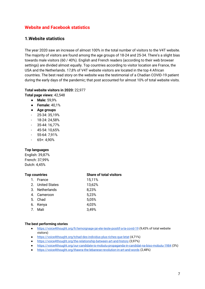#### **Website and Facebook statistics**

#### **1.Website statistics**

The year 2020 saw an increase of almost 100% in the total number of visitors to the V4T website. The majority of visitors are found among the age groups of 18-24 and 25-34. There's a slight bias towards male visitors (60 / 40%). English and French readers (according to their web browser settings) are divided almost equally. Top countries according to visitor location are France, the USA and the Netherlands. 17,8% of V4T website visitors are located in the top 4 African countries. The best read story on the website was the testimonial of a Chadian COVID-19 patient during the early days of the pandemic; that post accounted for almost 10% of total website visits.

#### **Total website visitors in 2020:** 22,977

**Total page views:** 42,548

- **Male:** 59,9%
- **Female:** 40,1%
- **Age groups**
- 25-34: 35,19%
- 18-24: 24,58%
- 35-44: 16,77%
- 45-54: 10,65%
- 55-64: 7,91%
- 65+: 4,90%

#### **Top languages**

English: 39,87% French: 37,99% Dutch: 4,45%

#### **Top countries Share of total visitors**

| 1. France        | 15,11% |
|------------------|--------|
| 2. United States | 13,62% |
| 3. Netherlands   | 8,23%  |
| 4. Cameroon      | 5,23%  |
| 5. Chad          | 5,05%  |
| 6. Kenya         | 4,03%  |
| 7. Mali          | 3,49%  |
|                  |        |

#### **The best performing stories**

- <https://voice4thought.org/fr/temoignage-jai-ete-teste-positif-a-la-covid-19> (9,43% of total website visitors)
- <https://voice4thought.org/tchad-des-individus-plus-riches-que-letat> (4,71%)
- <https://voice4thought.org/the-relationship-between-art-and-history> (3,97%)
- <https://voice4thought.org/our-candidate-is-mobutu-propaganda-in-candidat-na-biso-mobutu-1984> (3%)
- <https://voice4thought.org/thawra-the-lebanese-revolution-in-art-and-words> (2,48%)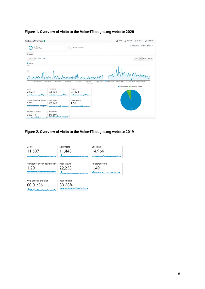|                                                          |                        |                                                           | <b>B</b> SAVE<br>$<$ SHARE<br>C INSIGHTS<br>EXPORT                           |
|----------------------------------------------------------|------------------------|-----------------------------------------------------------|------------------------------------------------------------------------------|
| All Users<br>100.00% Users                               |                        | + Add Segment                                             | 1 Jan 2020 - 31 Dec 2020 -                                                   |
| Overview                                                 |                        |                                                           |                                                                              |
| VS Select a metric<br>Users:<br>$\overline{\phantom{a}}$ |                        |                                                           | Hourly<br>Day<br>Week Month                                                  |
| <b>O</b> Users                                           |                        |                                                           |                                                                              |
| 300                                                      |                        |                                                           |                                                                              |
| 200                                                      |                        |                                                           |                                                                              |
|                                                          |                        |                                                           |                                                                              |
|                                                          |                        |                                                           |                                                                              |
|                                                          |                        |                                                           |                                                                              |
|                                                          |                        |                                                           |                                                                              |
| March 2020<br>February 2020                              | April 2020<br>May 2020 | <b>June 2020</b><br><b>July 2020</b><br><b>MAGINATION</b> | August 2020<br>September 2020<br>October 2020<br>November 2020 December 2020 |
|                                                          |                        |                                                           | New Visitor <b>III</b> Returning Visitor                                     |
| Users                                                    | New Users              | Sessions                                                  |                                                                              |
| 22,977                                                   | 23,105                 | 27,474                                                    |                                                                              |
|                                                          |                        |                                                           |                                                                              |
| بالمتحدث وأحالتهم                                        | Page Views             | Pages/Session                                             |                                                                              |
|                                                          | 42,548                 | 1.55                                                      |                                                                              |
| Number of Sessions per User<br>1.20                      | بالمحمد وأرزاه مسر     | بالساجس ومتعدد                                            |                                                                              |
|                                                          | <b>Bounce Rate</b>     |                                                           | 92.7%                                                                        |
| Avg. Session Duration<br>00:01:11                        | 80.29%                 |                                                           |                                                                              |

#### **Figure 1. Overview of visits to the Voice4Thought.org website 2020**

#### **Figure 2. Overview of visits to the Voice4Thought.org website 2019**

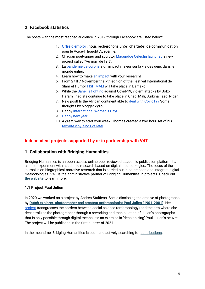#### **2. Facebook statistics**

The posts with the most reached audience in 2019 through Facebook are listed below:

- 1. [Offre d'](https://www.facebook.com/voice4thought/photos/a.408499046011169/1505879386273124/?type=3&size=960%2C540&fbid=1505879386273124&source=12&player_origin=unknown&__xts__%5B0%5D=68.ARDL4xf2KlPlEk2qakhEpyw9mOIkTime1i8Lt9Zb9_3f7P1C9E2CHVey2I_tKto7UJE0bIviMk9F_nGpSFFltPrcxUFw0iej0RQU-CTvS_Zp3RQl898zEb7EgoKZSQD95GQrYa07vsarWZabLl86wNaemShb4rDqFQ4umD5pxvDvAUFyqNs7H_X73knvdTxRIidF4HmZrXsDjbB716KTevt618gdeVSgnNtSBFrK_rJ7zRT8K2f1b223KKD-yC4XNUtdN9tLRShsiwbcxCu-1_jZYz6vEGZAaQgWSkhbX4q3E44xdOg34w)emploi : nous recherchons un(e) chargé(e) de communication pour le Voice4Thought Académie.
- 2. Chadian poet-singer and sculptor [Maoundoé Célestin launched a](https://www.facebook.com/voice4thought/photos/a.408499046011169/1499829633544766?type=3&size=1920%2C1088&fbid=1499829633544766&source=12&player_origin=unknown&__xts__%5B0%5D=68.ARCYQZiiWItqhr_--kgpGBfYo9taLxxUzZ3-haI2dZeDcLQy1EQ-kR3gmGKMbnTgeNeRX11GZQSUB55LUbhuvFehPR1seOzqbTW1QOTMZDmF9V3ycfWNQzjGzzoOvI4DJ0Uj3Wm2auupODOVINvi2wWyFVkJhINJObezR7qfxEc7Bp9p2RuxwgYv2QbZfDkAWDGsb4AhnnO64j6sDWR5cNPYrJSBT68zuGX4xnD-ZDaAGop8-xZkm3i1IX2DuFq_fm1l6tEQ-ZNm_I4Pb8OVP5GkPnyDj5FI1HeTMDadwaq_js42cLfG-Q) new project called "Au nom de l'art".
- 3. La [pandémie de corona a](https://www.facebook.com/voice4thought/photos/a.408499046011169/1537596116434784/?type=3&size=780%2C438&fbid=1537596116434784&source=12&player_origin=unknown&__xts__%5B0%5D=68.ARClKLmgxW6rktuRE0GgYVRF3yNVrbryYi7bkNHSZl6yh8NSCt65T42FNK0h1a5ApqEM8JOOmtktsIqaYq9VWfaMcm6XEGVlMBCK-7Hd7iyiDM9tv-DixDIjVE0dVZLqQ0cCDhfU5S82MUEKe51FcNiJyyo4yge-I7kneDjpJ8Wh5SI4IjCCkUZey-pZckWLj6ERWiL-ngELVQrpC6V2q7dPusohShwdxUpSTZmwKALKoucUG8XDOXPy4vDUPFlujA2OCQ9wgEV_rD1wbsQnnP1B_4oQ5waChVQ2Z4FCPP9Yz_YdNIWLlQ) un impact majeur sur la vie des gens dans le monde entier.
- 4. Learn how to mak[e an impact w](https://www.facebook.com/voice4thought/photos/a.408499046011169/1706156782912049?type=3&size=1315%2C1860&fbid=1706156782912049&source=12&player_origin=unknown&__xts__%5B0%5D=68.ARA9DHIUk9oQvXNYJcjkPAIiN7LvVKZSvj9c1ZHGv_I8jniewNtx8b0OAOZ8aM5Tr7Qm5zoQpn4vNm_htHhpVHMpDHehWHvIFpHCIMpceqRXlW6x6RGNy8Z2ebjcL3VmHojuMC-Xq-CI8GR7g02DD6O84eI_M8ec0qemBur17MGMLwlaWt3UnZOezHoyWsjj1FmbFmQDw_SRaWS9kusvdlE3fjJtk34qcfdI8KF7Wjsjg5ZYGDI8mtua3pWzbIcrKSZlYbjg33HGu-Jz8uimv-g8qwUec4dUtkWaIQqBn7GOjKYduXpF4A)ith your research!
- 5. From 2 till 7 November the 7th edition of the Festival International de Slam et Humo[r FISH MALI w](https://www.facebook.com/voice4thought/videos/354127882475350?ref=tahoe)ill take place in Bamako.
- 6. While the [Sahel is fighting a](https://www.facebook.com/voice4thought/posts/1550296825164713)gainst Covid-19, violent attacks by Boko Haram jihadists continue to take place in Chad, Mali, Burkina Faso, Niger.
- 7. New post! Is the African continent able to [deal with Covid19?](https://www.facebook.com/voice4thought/posts/1535926336601762?__xts__%5B0%5D=68.ARDzkKVhEeMHhht0ME6BVAwTYDfb_BJICdmrFhz7m_hsNqy2TJ1Ky0dDaC3FOkeOS_iO1GAbak1zhv_pl44A7_CzJboKcMorPh_-uxv01DOCkGgabxFF0khaw9D48kpFmg5B8xxw6bZdFnkkwL05DBWatux0PthcKnDjZibV_biVwgmrTZKiEGGT0vcHXwk-HTBUKto12CSQLxcUXqpmUFmIjOauSH5nm5HeiWuoPa1k7GuPBXBVQQIJ9nQta__dMW1VdAWAPLM1kFAFiuIvfhJSXsDvXxw1PugEnec2gDnTKDgC58d49Q) Some thoughts by blogger Zyzou.
- 8. Happy [International Women's Day!](https://www.facebook.com/voice4thought/posts/1515878131939916?__xts__%5B0%5D=68.ARAYlHzB1-zaw6p9q6RCT5fsE0wQp4QFpPUFPq1Sb7UDN3ha5pL0DM9faecuRyhXzFu_wyKyN5KKfMZWiW5hieCrQDcmjl-wNeaWJhSmloq1vDcsuVLPSEdoEx2jc42D2y9NYg1jiZtCme1-IwK_HgvP7i92tBhyvhRjBj0YpCdCS2FPLxkYgZ0vEljqwdNLCfGtasGgEulLs5FZaijeZpExMufk8qQmk7qIlqRqZRWnTOtYmvNl0Kp-2_LZEw2gqWj3gc-2HasVQ9DnX5AiSNmiaNj5PMJKai7RGaj1pYxPOCLpu2GNQw)
- 9. [Happy new year!](https://www.facebook.com/voice4thought/photos/a.408499046011169/1773982719462788/?type=3&size=2048%2C1442&fbid=1773982719462788&source=12&player_origin=unknown&__xts__%5B0%5D=68.ARApj70SG4od_wx6oCODWngt6ua40iurybS7DJ8GMe9-0jr6l0yf0fLBLiGazrpy3n2UKpK-25yRCe5hM2CIRoBK5js-BJloO-00qHvfLncbEMG0pdTMYI1TiU2kcSKC2rFOkY7Ymky6C-FUgYR8thYV4Aat4Wk--TXyJ8MIVrqt0eHc2oeTyU7b5sP9CrIGAMS-AHPmgI_qsJ--Q0BKMU1_eUwDdGt_UmQuDfJVWjH4E3bclyjfn_kPIQPHC1Vnn1xoR1qsCgkksV4X4PTPvTQHJgnEqWIMJA6lx15dT4K8nDmRXhhriw)
- 10. A great way to start your week: Thomas created a two-hour set of his [favorite vinyl finds of late!](https://www.facebook.com/voice4thought/posts/1510337222494007?__xts__%5B0%5D=68.ARCtJNZPd7ksMbDKPJVv_MZxVFAE5zYiKzDit5ZXRJHuPzb0H5sNxAvqFWR_jFx7Wpd0hVSB-N-vX7hGc-yAFwFALs7zyCLGuY0y601Kr5LAO6JhVaw4chdDzGF99mlRlXbP00pb_JsyPw4L89KZc5ct_wUR-p7BQnGreM70DlmlYcu3hcfckHmVVVzN4imvji5-0-hccYGD5xzomJAFuWStELjRUjGN-8eex9QYTB4SC3YcsgF3TIllIrlEBENHB81a5_dYi48plvD_Z8-n3pcK--24YTGAJ2OYpQpRnseWWWCmYDyZ2Q)

#### **Independent projects supported by or in partnership with V4T**

#### **1. Collaboration with Bridging Humanities**

Bridging Humanities is an open access online peer-reviewed academic publication platform that aims to experiment with academic research based on digital methodologies. The focus of the journal is on biographical-narrative research that is carried out in co-creation and integrate digital methodologies. V4T is the administrative partner of Bridging Humanities in projects. Check ou[t](https://voice4thought.us14.list-manage.com/track/click?u=15ac60622e29d9b13cfbc6676&id=f2a3009e53&e=9461635a73) **[the website](https://voice4thought.us14.list-manage.com/track/click?u=15ac60622e29d9b13cfbc6676&id=f2a3009e53&e=9461635a73)** to learn more.

#### **1.1 Project Paul Julien**

In 2020 we worked on a project by Andrea Stultiens. She is disclosing the archive of photographs by **[Dutch explorer, photographer and amateur anthropologist Paul Julien \(1901-2001\)](https://voice4thought.us14.list-manage.com/track/click?u=15ac60622e29d9b13cfbc6676&id=1f331ead1f&e=9461635a73)**. Her [project](http://pju.bridginghumanities.com/reframing-pju-home/) transgresses the borders between social science (anthropology) and the arts where she decentralizes the photographer through a reworking and manipulation of Julien's photographs that is only possible through digital means. It's an exercise in 'decolonizing' Paul Julien's oeuvre. The project will be published in the first quarter of 2021.

In the meantime, Bridging Humanities is open and actively searching for [contributions.](https://voice4thought.us14.list-manage.com/track/click?u=15ac60622e29d9b13cfbc6676&id=6fc39969ba&e=9461635a73)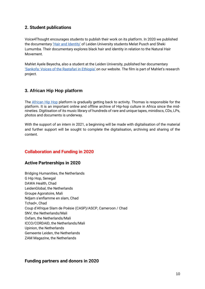#### **2. Student publications**

Voice4Thought encourages students to publish their work on its platform. In 2020 we published the documentary ['Hair and Identity'](https://voice4thought.org/celebrating-natural-hair-isil-festival-in-cameroon-and-documentary-hair-and-identity/) of Leiden University students Melat Pusch and Sheki Lumumba. Their documentary explores black hair and identity in relation to the Natural Hair Movement.

Mahlet Ayele Beyecha, also a student at the Leiden University, published her documentary ['Sankofa: Voices of the Rastafari in Ethiopia' o](https://voice4thought.org/documentary-sankofa-voices-of-the-rastafari-from-ethiopia/)n our website. The film is part of Mahlet's research project.

#### **3. African Hip Hop platform**

The [African Hip Hop](http://www.africanhiphop.com/) platform is gradually getting back to activity. Thomas is responsible for the platform. It is an important online and offline archive of Hip-hop culture in Africa since the midnineties. Digitisation of its music library of hundreds of rare and unique tapes, minidiscs, CDs, LPs, photos and documents is underway.

With the support of an intern in 2021, a beginning will be made with digitalisation of the material and further support will be sought to complete the digitalisation, archiving and sharing of the content.

#### **Collaboration and Funding in 2020**

#### **Active Partnerships in 2020**

Bridging Humanities, the Netherlands G Hip Hop, Senegal DAWA Health, Chad LeidenGlobal, the Netherlands Groupe Agoratoire, Mali Ndjam s'enflamme en slam, Chad Tchad+, Chad Coup d'Afrique Slam de Poésie (CASP)/ASCP, Cameroon / Chad SNV, the Netherlands/Mali Oxfam, the Netherlands/Mali ICCO/CORDAID, the Netherlands/Mali Upinion, the Netherlands Gemeente Leiden, the Netherlands ZAM Magazine, the Netherlands

#### **Funding partners and donors in 2020**